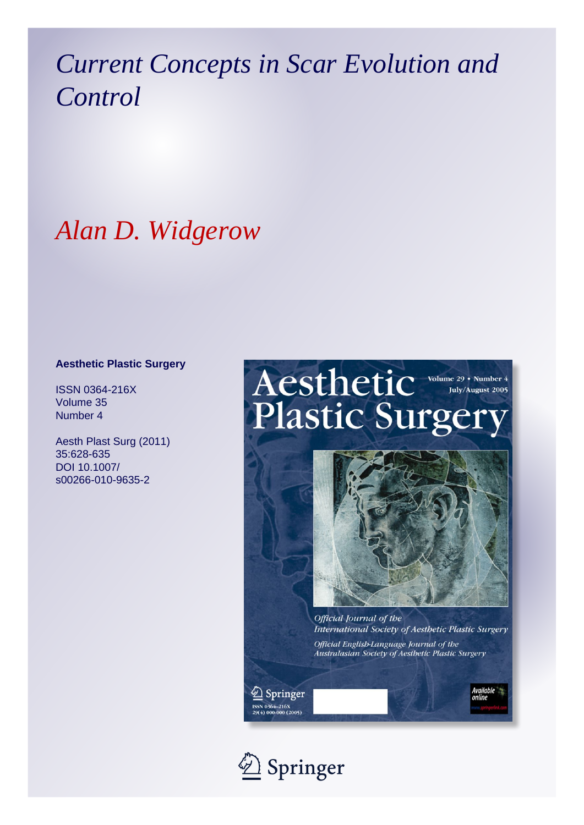# *Current Concepts in Scar Evolution and Control*

# *Alan D. Widgerow*

#### **Aesthetic Plastic Surgery**

ISSN 0364-216X Volume 35 Number 4

Aesth Plast Surg (2011) 35:628-635 DOI 10.1007/ s00266-010-9635-2

# Aesthetic Volume 29 . Number 4 **Plastic Surgery**



International Society of Aesthetic Plastic Surgery

Official English-Language Journal of the Australasian Society of Aesthetic Plastic Surgery

 $\textcircled{2}$  Springer .<br>30 0364–216X<br>30 000-000 (2005)

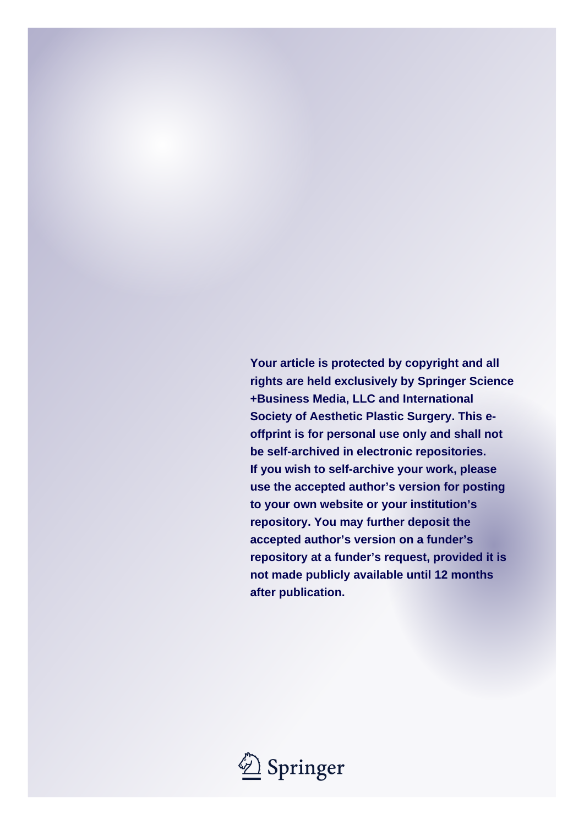**Your article is protected by copyright and all rights are held exclusively by Springer Science +Business Media, LLC and International Society of Aesthetic Plastic Surgery. This eoffprint is for personal use only and shall not be self-archived in electronic repositories. If you wish to self-archive your work, please use the accepted author's version for posting to your own website or your institution's repository. You may further deposit the accepted author's version on a funder's repository at a funder's request, provided it is not made publicly available until 12 months after publication.**

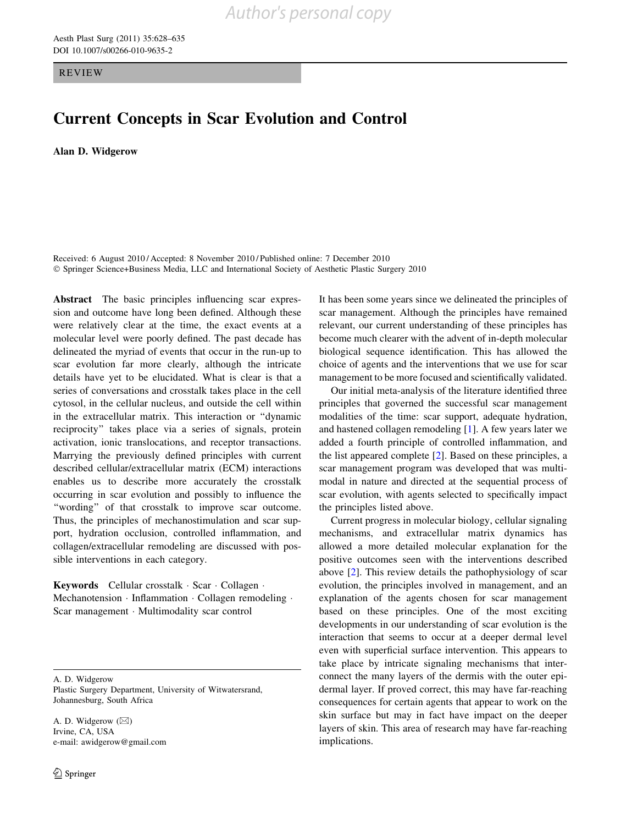REVIEW

### Current Concepts in Scar Evolution and Control

Alan D. Widgerow

Received: 6 August 2010 / Accepted: 8 November 2010 / Published online: 7 December 2010 - Springer Science+Business Media, LLC and International Society of Aesthetic Plastic Surgery 2010

Abstract The basic principles influencing scar expression and outcome have long been defined. Although these were relatively clear at the time, the exact events at a molecular level were poorly defined. The past decade has delineated the myriad of events that occur in the run-up to scar evolution far more clearly, although the intricate details have yet to be elucidated. What is clear is that a series of conversations and crosstalk takes place in the cell cytosol, in the cellular nucleus, and outside the cell within in the extracellular matrix. This interaction or ''dynamic reciprocity'' takes place via a series of signals, protein activation, ionic translocations, and receptor transactions. Marrying the previously defined principles with current described cellular/extracellular matrix (ECM) interactions enables us to describe more accurately the crosstalk occurring in scar evolution and possibly to influence the "wording" of that crosstalk to improve scar outcome. Thus, the principles of mechanostimulation and scar support, hydration occlusion, controlled inflammation, and collagen/extracellular remodeling are discussed with possible interventions in each category.

Keywords Cellular crosstalk · Scar · Collagen · Mechanotension · Inflammation · Collagen remodeling · Scar management - Multimodality scar control

A. D. Widgerow

Plastic Surgery Department, University of Witwatersrand, Johannesburg, South Africa

A. D. Widgerow ( $\boxtimes$ ) Irvine, CA, USA e-mail: awidgerow@gmail.com It has been some years since we delineated the principles of scar management. Although the principles have remained relevant, our current understanding of these principles has become much clearer with the advent of in-depth molecular biological sequence identification. This has allowed the choice of agents and the interventions that we use for scar management to be more focused and scientifically validated.

Our initial meta-analysis of the literature identified three principles that governed the successful scar management modalities of the time: scar support, adequate hydration, and hastened collagen remodeling [\[1](#page-7-0)]. A few years later we added a fourth principle of controlled inflammation, and the list appeared complete [\[2](#page-7-0)]. Based on these principles, a scar management program was developed that was multimodal in nature and directed at the sequential process of scar evolution, with agents selected to specifically impact the principles listed above.

Current progress in molecular biology, cellular signaling mechanisms, and extracellular matrix dynamics has allowed a more detailed molecular explanation for the positive outcomes seen with the interventions described above [[2\]](#page-7-0). This review details the pathophysiology of scar evolution, the principles involved in management, and an explanation of the agents chosen for scar management based on these principles. One of the most exciting developments in our understanding of scar evolution is the interaction that seems to occur at a deeper dermal level even with superficial surface intervention. This appears to take place by intricate signaling mechanisms that interconnect the many layers of the dermis with the outer epidermal layer. If proved correct, this may have far-reaching consequences for certain agents that appear to work on the skin surface but may in fact have impact on the deeper layers of skin. This area of research may have far-reaching implications.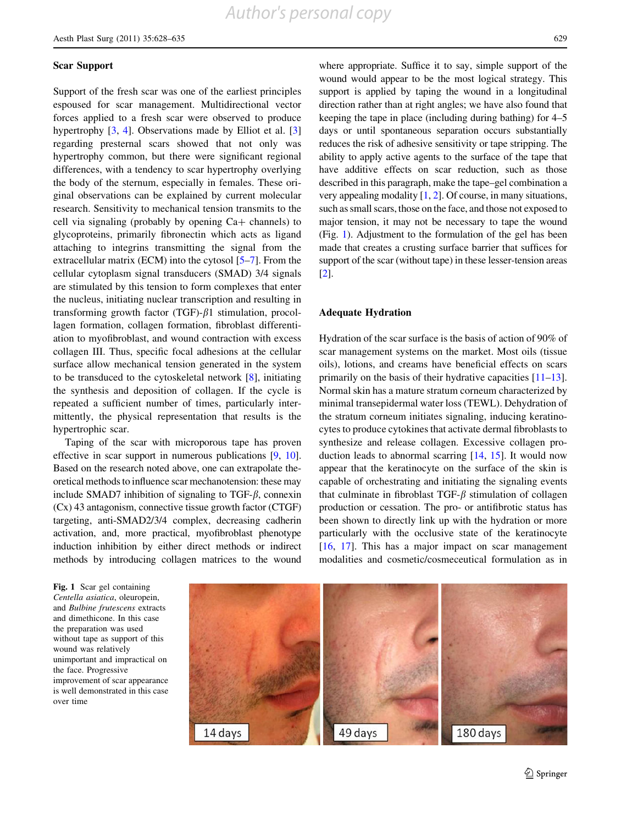#### Scar Support

Support of the fresh scar was one of the earliest principles espoused for scar management. Multidirectional vector forces applied to a fresh scar were observed to produce hypertrophy [[3,](#page-7-0) [4\]](#page-7-0). Observations made by Elliot et al. [[3\]](#page-7-0) regarding presternal scars showed that not only was hypertrophy common, but there were significant regional differences, with a tendency to scar hypertrophy overlying the body of the sternum, especially in females. These original observations can be explained by current molecular research. Sensitivity to mechanical tension transmits to the cell via signaling (probably by opening  $Ca+$  channels) to glycoproteins, primarily fibronectin which acts as ligand attaching to integrins transmitting the signal from the extracellular matrix (ECM) into the cytosol [[5–7\]](#page-7-0). From the cellular cytoplasm signal transducers (SMAD) 3/4 signals are stimulated by this tension to form complexes that enter the nucleus, initiating nuclear transcription and resulting in transforming growth factor (TGF)- $\beta$ 1 stimulation, procollagen formation, collagen formation, fibroblast differentiation to myofibroblast, and wound contraction with excess collagen III. Thus, specific focal adhesions at the cellular surface allow mechanical tension generated in the system to be transduced to the cytoskeletal network [[8\]](#page-7-0), initiating the synthesis and deposition of collagen. If the cycle is repeated a sufficient number of times, particularly intermittently, the physical representation that results is the hypertrophic scar.

Taping of the scar with microporous tape has proven effective in scar support in numerous publications [\[9](#page-7-0), [10](#page-7-0)]. Based on the research noted above, one can extrapolate theoretical methods to influence scar mechanotension: these may include SMAD7 inhibition of signaling to TGF- $\beta$ , connexin (Cx) 43 antagonism, connective tissue growth factor (CTGF) targeting, anti-SMAD2/3/4 complex, decreasing cadherin activation, and, more practical, myofibroblast phenotype induction inhibition by either direct methods or indirect methods by introducing collagen matrices to the wound

where appropriate. Suffice it to say, simple support of the wound would appear to be the most logical strategy. This support is applied by taping the wound in a longitudinal direction rather than at right angles; we have also found that keeping the tape in place (including during bathing) for 4–5 days or until spontaneous separation occurs substantially reduces the risk of adhesive sensitivity or tape stripping. The ability to apply active agents to the surface of the tape that have additive effects on scar reduction, such as those described in this paragraph, make the tape–gel combination a very appealing modality [\[1](#page-7-0), [2](#page-7-0)]. Of course, in many situations, such as small scars, those on the face, and those not exposed to major tension, it may not be necessary to tape the wound (Fig. 1). Adjustment to the formulation of the gel has been made that creates a crusting surface barrier that suffices for support of the scar (without tape) in these lesser-tension areas [\[2](#page-7-0)].

#### Adequate Hydration

Hydration of the scar surface is the basis of action of 90% of scar management systems on the market. Most oils (tissue oils), lotions, and creams have beneficial effects on scars primarily on the basis of their hydrative capacities [\[11–13](#page-7-0)]. Normal skin has a mature stratum corneum characterized by minimal transepidermal water loss (TEWL). Dehydration of the stratum corneum initiates signaling, inducing keratinocytes to produce cytokines that activate dermal fibroblasts to synthesize and release collagen. Excessive collagen production leads to abnormal scarring [[14](#page-7-0), [15](#page-7-0)]. It would now appear that the keratinocyte on the surface of the skin is capable of orchestrating and initiating the signaling events that culminate in fibroblast TGF- $\beta$  stimulation of collagen production or cessation. The pro- or antifibrotic status has been shown to directly link up with the hydration or more particularly with the occlusive state of the keratinocyte [\[16](#page-7-0), [17\]](#page-7-0). This has a major impact on scar management modalities and cosmetic/cosmeceutical formulation as in

Fig. 1 Scar gel containing Centella asiatica, oleuropein, and Bulbine frutescens extracts and dimethicone. In this case the preparation was used without tape as support of this wound was relatively unimportant and impractical on the face. Progressive improvement of scar appearance is well demonstrated in this case over time

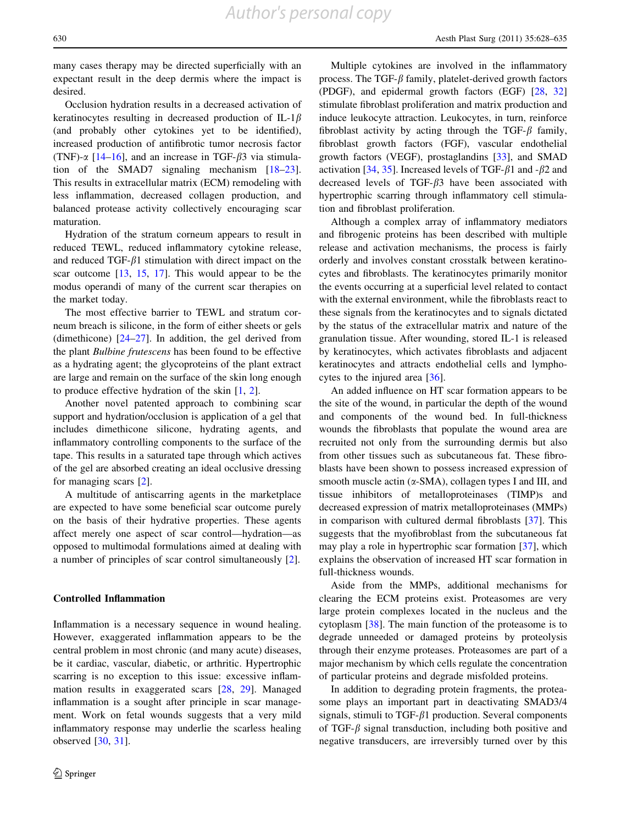*Author's personal copy*

many cases therapy may be directed superficially with an expectant result in the deep dermis where the impact is desired.

Occlusion hydration results in a decreased activation of keratinocytes resulting in decreased production of IL-1 $\beta$ (and probably other cytokines yet to be identified), increased production of antifibrotic tumor necrosis factor (TNF)- $\alpha$  [[14–16\]](#page-7-0), and an increase in TGF- $\beta$ 3 via stimulation of the SMAD7 signaling mechanism [\[18](#page-7-0)[–23](#page-8-0)]. This results in extracellular matrix (ECM) remodeling with less inflammation, decreased collagen production, and balanced protease activity collectively encouraging scar maturation.

Hydration of the stratum corneum appears to result in reduced TEWL, reduced inflammatory cytokine release, and reduced TGF- $\beta$ 1 stimulation with direct impact on the scar outcome [[13,](#page-7-0) [15,](#page-7-0) [17\]](#page-7-0). This would appear to be the modus operandi of many of the current scar therapies on the market today.

The most effective barrier to TEWL and stratum corneum breach is silicone, in the form of either sheets or gels (dimethicone)  $[24-27]$ . In addition, the gel derived from the plant Bulbine frutescens has been found to be effective as a hydrating agent; the glycoproteins of the plant extract are large and remain on the surface of the skin long enough to produce effective hydration of the skin [\[1](#page-7-0), [2](#page-7-0)].

Another novel patented approach to combining scar support and hydration/occlusion is application of a gel that includes dimethicone silicone, hydrating agents, and inflammatory controlling components to the surface of the tape. This results in a saturated tape through which actives of the gel are absorbed creating an ideal occlusive dressing for managing scars [\[2](#page-7-0)].

A multitude of antiscarring agents in the marketplace are expected to have some beneficial scar outcome purely on the basis of their hydrative properties. These agents affect merely one aspect of scar control—hydration—as opposed to multimodal formulations aimed at dealing with a number of principles of scar control simultaneously [\[2](#page-7-0)].

#### Controlled Inflammation

Inflammation is a necessary sequence in wound healing. However, exaggerated inflammation appears to be the central problem in most chronic (and many acute) diseases, be it cardiac, vascular, diabetic, or arthritic. Hypertrophic scarring is no exception to this issue: excessive inflammation results in exaggerated scars [\[28](#page-8-0), [29](#page-8-0)]. Managed inflammation is a sought after principle in scar management. Work on fetal wounds suggests that a very mild inflammatory response may underlie the scarless healing observed [[30,](#page-8-0) [31\]](#page-8-0).

Multiple cytokines are involved in the inflammatory process. The TGF- $\beta$  family, platelet-derived growth factors (PDGF), and epidermal growth factors (EGF) [[28,](#page-8-0) [32\]](#page-8-0) stimulate fibroblast proliferation and matrix production and induce leukocyte attraction. Leukocytes, in turn, reinforce fibroblast activity by acting through the TGF- $\beta$  family, fibroblast growth factors (FGF), vascular endothelial growth factors (VEGF), prostaglandins [\[33](#page-8-0)], and SMAD activation [\[34](#page-8-0), [35](#page-8-0)]. Increased levels of TGF- $\beta$ 1 and - $\beta$ 2 and decreased levels of TGF- $\beta$ 3 have been associated with hypertrophic scarring through inflammatory cell stimulation and fibroblast proliferation.

Although a complex array of inflammatory mediators and fibrogenic proteins has been described with multiple release and activation mechanisms, the process is fairly orderly and involves constant crosstalk between keratinocytes and fibroblasts. The keratinocytes primarily monitor the events occurring at a superficial level related to contact with the external environment, while the fibroblasts react to these signals from the keratinocytes and to signals dictated by the status of the extracellular matrix and nature of the granulation tissue. After wounding, stored IL-1 is released by keratinocytes, which activates fibroblasts and adjacent keratinocytes and attracts endothelial cells and lymphocytes to the injured area [[36\]](#page-8-0).

An added influence on HT scar formation appears to be the site of the wound, in particular the depth of the wound and components of the wound bed. In full-thickness wounds the fibroblasts that populate the wound area are recruited not only from the surrounding dermis but also from other tissues such as subcutaneous fat. These fibroblasts have been shown to possess increased expression of smooth muscle actin  $(\alpha$ -SMA), collagen types I and III, and tissue inhibitors of metalloproteinases (TIMP)s and decreased expression of matrix metalloproteinases (MMPs) in comparison with cultured dermal fibroblasts [[37\]](#page-8-0). This suggests that the myofibroblast from the subcutaneous fat may play a role in hypertrophic scar formation [\[37](#page-8-0)], which explains the observation of increased HT scar formation in full-thickness wounds.

Aside from the MMPs, additional mechanisms for clearing the ECM proteins exist. Proteasomes are very large protein complexes located in the nucleus and the cytoplasm [[38\]](#page-8-0). The main function of the proteasome is to degrade unneeded or damaged proteins by proteolysis through their enzyme proteases. Proteasomes are part of a major mechanism by which cells regulate the concentration of particular proteins and degrade misfolded proteins.

In addition to degrading protein fragments, the proteasome plays an important part in deactivating SMAD3/4 signals, stimuli to TGF- $\beta$ 1 production. Several components of TGF- $\beta$  signal transduction, including both positive and negative transducers, are irreversibly turned over by this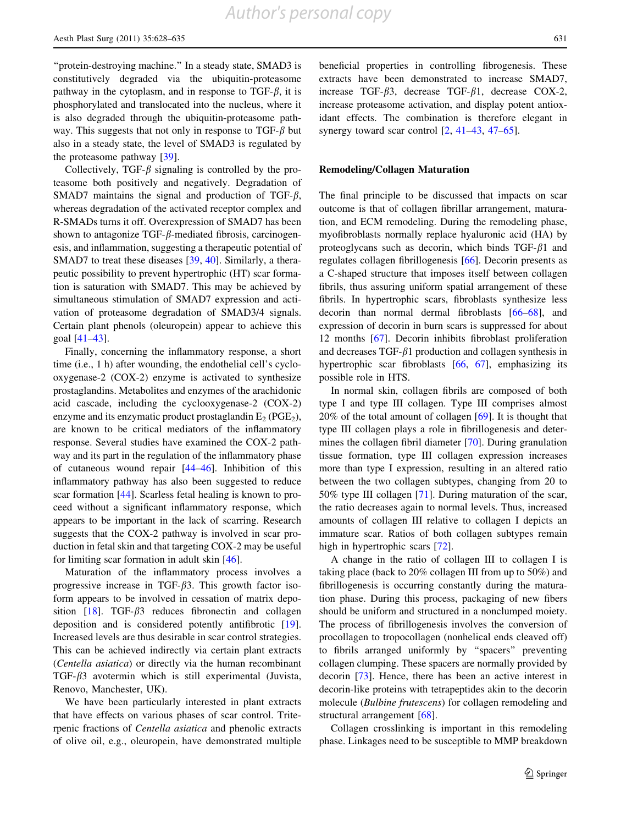''protein-destroying machine.'' In a steady state, SMAD3 is constitutively degraded via the ubiquitin-proteasome pathway in the cytoplasm, and in response to TGF- $\beta$ , it is phosphorylated and translocated into the nucleus, where it is also degraded through the ubiquitin-proteasome pathway. This suggests that not only in response to TGF- $\beta$  but also in a steady state, the level of SMAD3 is regulated by the proteasome pathway [[39\]](#page-8-0).

Collectively, TGF- $\beta$  signaling is controlled by the proteasome both positively and negatively. Degradation of SMAD7 maintains the signal and production of TGF- $\beta$ , whereas degradation of the activated receptor complex and R-SMADs turns it off. Overexpression of SMAD7 has been shown to antagonize TGF- $\beta$ -mediated fibrosis, carcinogenesis, and inflammation, suggesting a therapeutic potential of SMAD7 to treat these diseases [[39,](#page-8-0) [40\]](#page-8-0). Similarly, a therapeutic possibility to prevent hypertrophic (HT) scar formation is saturation with SMAD7. This may be achieved by simultaneous stimulation of SMAD7 expression and activation of proteasome degradation of SMAD3/4 signals. Certain plant phenols (oleuropein) appear to achieve this goal [\[41–43](#page-8-0)].

Finally, concerning the inflammatory response, a short time (i.e., 1 h) after wounding, the endothelial cell's cyclooxygenase-2 (COX-2) enzyme is activated to synthesize prostaglandins. Metabolites and enzymes of the arachidonic acid cascade, including the cyclooxygenase-2 (COX-2) enzyme and its enzymatic product prostaglandin  $E_2$  (PGE<sub>2</sub>), are known to be critical mediators of the inflammatory response. Several studies have examined the COX-2 pathway and its part in the regulation of the inflammatory phase of cutaneous wound repair [[44–46\]](#page-8-0). Inhibition of this inflammatory pathway has also been suggested to reduce scar formation [[44\]](#page-8-0). Scarless fetal healing is known to proceed without a significant inflammatory response, which appears to be important in the lack of scarring. Research suggests that the COX-2 pathway is involved in scar production in fetal skin and that targeting COX-2 may be useful for limiting scar formation in adult skin [[46\]](#page-8-0).

Maturation of the inflammatory process involves a progressive increase in TGF- $\beta$ 3. This growth factor isoform appears to be involved in cessation of matrix deposition  $[18]$  $[18]$ . TGF- $\beta$ 3 reduces fibronectin and collagen deposition and is considered potently antifibrotic [\[19](#page-8-0)]. Increased levels are thus desirable in scar control strategies. This can be achieved indirectly via certain plant extracts (Centella asiatica) or directly via the human recombinant TGF- $\beta$ 3 avotermin which is still experimental (Juvista, Renovo, Manchester, UK).

We have been particularly interested in plant extracts that have effects on various phases of scar control. Triterpenic fractions of Centella asiatica and phenolic extracts of olive oil, e.g., oleuropein, have demonstrated multiple

beneficial properties in controlling fibrogenesis. These extracts have been demonstrated to increase SMAD7, increase TGF- $\beta$ 3, decrease TGF- $\beta$ 1, decrease COX-2, increase proteasome activation, and display potent antioxidant effects. The combination is therefore elegant in synergy toward scar control [[2,](#page-7-0) [41–43](#page-8-0), [47](#page-8-0)[–65](#page-9-0)].

#### Remodeling/Collagen Maturation

The final principle to be discussed that impacts on scar outcome is that of collagen fibrillar arrangement, maturation, and ECM remodeling. During the remodeling phase, myofibroblasts normally replace hyaluronic acid (HA) by proteoglycans such as decorin, which binds  $TGF- $\beta$ 1$  and regulates collagen fibrillogenesis [[66\]](#page-9-0). Decorin presents as a C-shaped structure that imposes itself between collagen fibrils, thus assuring uniform spatial arrangement of these fibrils. In hypertrophic scars, fibroblasts synthesize less decorin than normal dermal fibroblasts [[66–68\]](#page-9-0), and expression of decorin in burn scars is suppressed for about 12 months [[67\]](#page-9-0). Decorin inhibits fibroblast proliferation and decreases TGF- $\beta$ 1 production and collagen synthesis in hypertrophic scar fibroblasts [\[66](#page-9-0), [67\]](#page-9-0), emphasizing its possible role in HTS.

In normal skin, collagen fibrils are composed of both type I and type III collagen. Type III comprises almost 20% of the total amount of collagen [[69\]](#page-9-0). It is thought that type III collagen plays a role in fibrillogenesis and determines the collagen fibril diameter [[70\]](#page-9-0). During granulation tissue formation, type III collagen expression increases more than type I expression, resulting in an altered ratio between the two collagen subtypes, changing from 20 to 50% type III collagen [[71\]](#page-9-0). During maturation of the scar, the ratio decreases again to normal levels. Thus, increased amounts of collagen III relative to collagen I depicts an immature scar. Ratios of both collagen subtypes remain high in hypertrophic scars [\[72](#page-9-0)].

A change in the ratio of collagen III to collagen I is taking place (back to 20% collagen III from up to 50%) and fibrillogenesis is occurring constantly during the maturation phase. During this process, packaging of new fibers should be uniform and structured in a nonclumped moiety. The process of fibrillogenesis involves the conversion of procollagen to tropocollagen (nonhelical ends cleaved off) to fibrils arranged uniformly by ''spacers'' preventing collagen clumping. These spacers are normally provided by decorin [[73\]](#page-9-0). Hence, there has been an active interest in decorin-like proteins with tetrapeptides akin to the decorin molecule (Bulbine frutescens) for collagen remodeling and structural arrangement [\[68](#page-9-0)].

Collagen crosslinking is important in this remodeling phase. Linkages need to be susceptible to MMP breakdown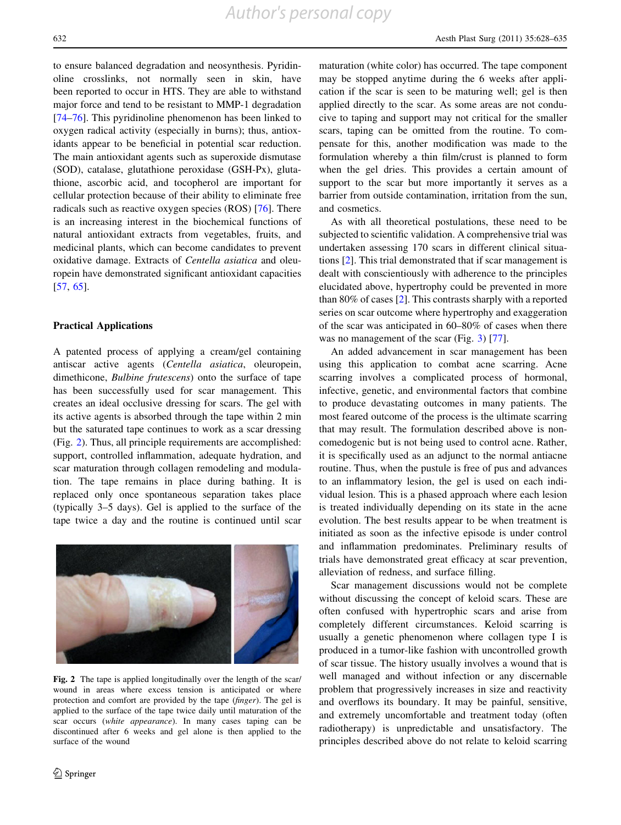to ensure balanced degradation and neosynthesis. Pyridinoline crosslinks, not normally seen in skin, have been reported to occur in HTS. They are able to withstand major force and tend to be resistant to MMP-1 degradation [\[74–76](#page-9-0)]. This pyridinoline phenomenon has been linked to oxygen radical activity (especially in burns); thus, antioxidants appear to be beneficial in potential scar reduction. The main antioxidant agents such as superoxide dismutase (SOD), catalase, glutathione peroxidase (GSH-Px), glutathione, ascorbic acid, and tocopherol are important for cellular protection because of their ability to eliminate free radicals such as reactive oxygen species (ROS) [\[76](#page-9-0)]. There is an increasing interest in the biochemical functions of natural antioxidant extracts from vegetables, fruits, and medicinal plants, which can become candidates to prevent oxidative damage. Extracts of Centella asiatica and oleuropein have demonstrated significant antioxidant capacities [\[57](#page-8-0), [65](#page-9-0)].

#### Practical Applications

A patented process of applying a cream/gel containing antiscar active agents (Centella asiatica, oleuropein, dimethicone, Bulbine frutescens) onto the surface of tape has been successfully used for scar management. This creates an ideal occlusive dressing for scars. The gel with its active agents is absorbed through the tape within 2 min but the saturated tape continues to work as a scar dressing (Fig. 2). Thus, all principle requirements are accomplished: support, controlled inflammation, adequate hydration, and scar maturation through collagen remodeling and modulation. The tape remains in place during bathing. It is replaced only once spontaneous separation takes place (typically 3–5 days). Gel is applied to the surface of the tape twice a day and the routine is continued until scar



Fig. 2 The tape is applied longitudinally over the length of the scar/ wound in areas where excess tension is anticipated or where protection and comfort are provided by the tape (finger). The gel is applied to the surface of the tape twice daily until maturation of the scar occurs (white appearance). In many cases taping can be discontinued after 6 weeks and gel alone is then applied to the surface of the wound

maturation (white color) has occurred. The tape component may be stopped anytime during the 6 weeks after application if the scar is seen to be maturing well; gel is then applied directly to the scar. As some areas are not conducive to taping and support may not critical for the smaller scars, taping can be omitted from the routine. To compensate for this, another modification was made to the formulation whereby a thin film/crust is planned to form when the gel dries. This provides a certain amount of support to the scar but more importantly it serves as a barrier from outside contamination, irritation from the sun, and cosmetics.

As with all theoretical postulations, these need to be subjected to scientific validation. A comprehensive trial was undertaken assessing 170 scars in different clinical situations [\[2](#page-7-0)]. This trial demonstrated that if scar management is dealt with conscientiously with adherence to the principles elucidated above, hypertrophy could be prevented in more than 80% of cases [[2\]](#page-7-0). This contrasts sharply with a reported series on scar outcome where hypertrophy and exaggeration of the scar was anticipated in 60–80% of cases when there was no management of the scar (Fig. [3](#page-7-0)) [\[77](#page-9-0)].

An added advancement in scar management has been using this application to combat acne scarring. Acne scarring involves a complicated process of hormonal, infective, genetic, and environmental factors that combine to produce devastating outcomes in many patients. The most feared outcome of the process is the ultimate scarring that may result. The formulation described above is noncomedogenic but is not being used to control acne. Rather, it is specifically used as an adjunct to the normal antiacne routine. Thus, when the pustule is free of pus and advances to an inflammatory lesion, the gel is used on each individual lesion. This is a phased approach where each lesion is treated individually depending on its state in the acne evolution. The best results appear to be when treatment is initiated as soon as the infective episode is under control and inflammation predominates. Preliminary results of trials have demonstrated great efficacy at scar prevention, alleviation of redness, and surface filling.

Scar management discussions would not be complete without discussing the concept of keloid scars. These are often confused with hypertrophic scars and arise from completely different circumstances. Keloid scarring is usually a genetic phenomenon where collagen type I is produced in a tumor-like fashion with uncontrolled growth of scar tissue. The history usually involves a wound that is well managed and without infection or any discernable problem that progressively increases in size and reactivity and overflows its boundary. It may be painful, sensitive, and extremely uncomfortable and treatment today (often radiotherapy) is unpredictable and unsatisfactory. The principles described above do not relate to keloid scarring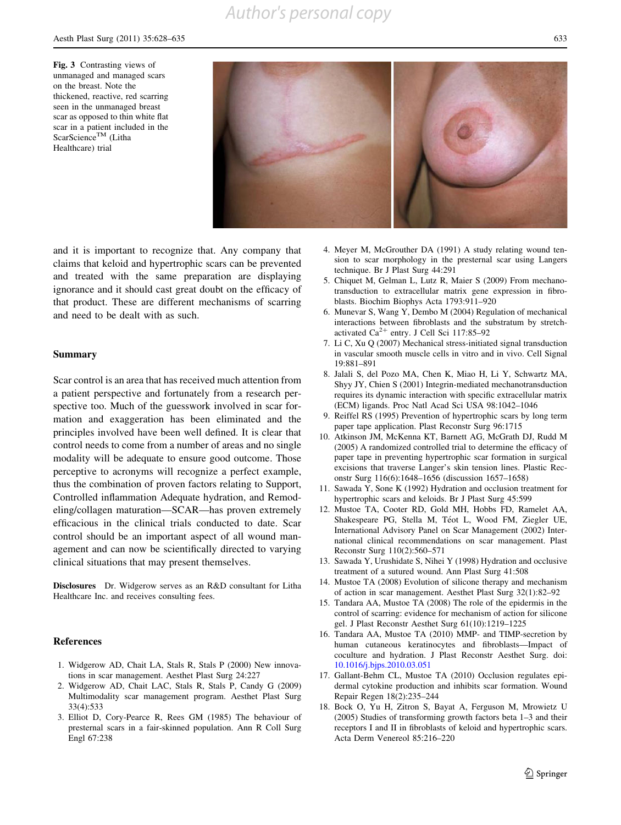## *Author's personal copy*

<span id="page-7-0"></span>Fig. 3 Contrasting views of unmanaged and managed scars on the breast. Note the thickened, reactive, red scarring seen in the unmanaged breast scar as opposed to thin white flat scar in a patient included in the ScarScience<sup>TM</sup> (Litha Healthcare) trial



and it is important to recognize that. Any company that claims that keloid and hypertrophic scars can be prevented and treated with the same preparation are displaying ignorance and it should cast great doubt on the efficacy of that product. These are different mechanisms of scarring and need to be dealt with as such.

#### Summary

Scar control is an area that has received much attention from a patient perspective and fortunately from a research perspective too. Much of the guesswork involved in scar formation and exaggeration has been eliminated and the principles involved have been well defined. It is clear that control needs to come from a number of areas and no single modality will be adequate to ensure good outcome. Those perceptive to acronyms will recognize a perfect example, thus the combination of proven factors relating to Support, Controlled inflammation Adequate hydration, and Remodeling/collagen maturation—SCAR—has proven extremely efficacious in the clinical trials conducted to date. Scar control should be an important aspect of all wound management and can now be scientifically directed to varying clinical situations that may present themselves.

Disclosures Dr. Widgerow serves as an R&D consultant for Litha Healthcare Inc. and receives consulting fees.

#### **References**

- 1. Widgerow AD, Chait LA, Stals R, Stals P (2000) New innovations in scar management. Aesthet Plast Surg 24:227
- 2. Widgerow AD, Chait LAC, Stals R, Stals P, Candy G (2009) Multimodality scar management program. Aesthet Plast Surg 33(4):533
- 3. Elliot D, Cory-Pearce R, Rees GM (1985) The behaviour of presternal scars in a fair-skinned population. Ann R Coll Surg Engl 67:238
- 4. Meyer M, McGrouther DA (1991) A study relating wound tension to scar morphology in the presternal scar using Langers technique. Br J Plast Surg 44:291
- 5. Chiquet M, Gelman L, Lutz R, Maier S (2009) From mechanotransduction to extracellular matrix gene expression in fibroblasts. Biochim Biophys Acta 1793:911–920
- 6. Munevar S, Wang Y, Dembo M (2004) Regulation of mechanical interactions between fibroblasts and the substratum by stretchactivated  $Ca^{2+}$  entry. J Cell Sci 117:85–92
- 7. Li C, Xu Q (2007) Mechanical stress-initiated signal transduction in vascular smooth muscle cells in vitro and in vivo. Cell Signal 19:881–891
- 8. Jalali S, del Pozo MA, Chen K, Miao H, Li Y, Schwartz MA, Shyy JY, Chien S (2001) Integrin-mediated mechanotransduction requires its dynamic interaction with specific extracellular matrix (ECM) ligands. Proc Natl Acad Sci USA 98:1042–1046
- 9. Reiffel RS (1995) Prevention of hypertrophic scars by long term paper tape application. Plast Reconstr Surg 96:1715
- 10. Atkinson JM, McKenna KT, Barnett AG, McGrath DJ, Rudd M (2005) A randomized controlled trial to determine the efficacy of paper tape in preventing hypertrophic scar formation in surgical excisions that traverse Langer's skin tension lines. Plastic Reconstr Surg 116(6):1648–1656 (discussion 1657–1658)
- 11. Sawada Y, Sone K (1992) Hydration and occlusion treatment for hypertrophic scars and keloids. Br J Plast Surg 45:599
- 12. Mustoe TA, Cooter RD, Gold MH, Hobbs FD, Ramelet AA, Shakespeare PG, Stella M, Téot L, Wood FM, Ziegler UE, International Advisory Panel on Scar Management (2002) International clinical recommendations on scar management. Plast Reconstr Surg 110(2):560–571
- 13. Sawada Y, Urushidate S, Nihei Y (1998) Hydration and occlusive treatment of a sutured wound. Ann Plast Surg 41:508
- 14. Mustoe TA (2008) Evolution of silicone therapy and mechanism of action in scar management. Aesthet Plast Surg 32(1):82–92
- 15. Tandara AA, Mustoe TA (2008) The role of the epidermis in the control of scarring: evidence for mechanism of action for silicone gel. J Plast Reconstr Aesthet Surg 61(10):1219–1225
- 16. Tandara AA, Mustoe TA (2010) MMP- and TIMP-secretion by human cutaneous keratinocytes and fibroblasts—Impact of coculture and hydration. J Plast Reconstr Aesthet Surg. doi: [10.1016/j.bjps.2010.03.051](http://10.1016/j.bjps.2010.03.051)
- 17. Gallant-Behm CL, Mustoe TA (2010) Occlusion regulates epidermal cytokine production and inhibits scar formation. Wound Repair Regen 18(2):235–244
- 18. Bock O, Yu H, Zitron S, Bayat A, Ferguson M, Mrowietz U (2005) Studies of transforming growth factors beta 1–3 and their receptors I and II in fibroblasts of keloid and hypertrophic scars. Acta Derm Venereol 85:216–220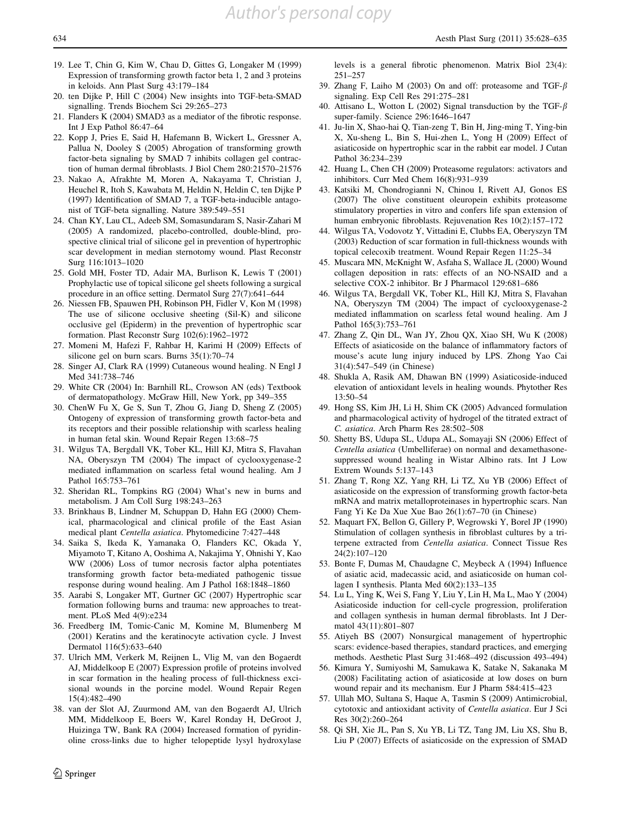- <span id="page-8-0"></span>19. Lee T, Chin G, Kim W, Chau D, Gittes G, Longaker M (1999) Expression of transforming growth factor beta 1, 2 and 3 proteins in keloids. Ann Plast Surg 43:179–184
- 20. ten Dijke P, Hill C (2004) New insights into TGF-beta-SMAD signalling. Trends Biochem Sci 29:265–273
- 21. Flanders K (2004) SMAD3 as a mediator of the fibrotic response. Int J Exp Pathol 86:47–64
- 22. Kopp J, Pries E, Said H, Hafemann B, Wickert L, Gressner A, Pallua N, Dooley S (2005) Abrogation of transforming growth factor-beta signaling by SMAD 7 inhibits collagen gel contraction of human dermal fibroblasts. J Biol Chem 280:21570–21576
- 23. Nakao A, Afrakhte M, Moren A, Nakayama T, Christian J, Heuchel R, Itoh S, Kawabata M, Heldin N, Heldin C, ten Dijke P (1997) Identification of SMAD 7, a TGF-beta-inducible antagonist of TGF-beta signalling. Nature 389:549–551
- 24. Chan KY, Lau CL, Adeeb SM, Somasundaram S, Nasir-Zahari M (2005) A randomized, placebo-controlled, double-blind, prospective clinical trial of silicone gel in prevention of hypertrophic scar development in median sternotomy wound. Plast Reconstr Surg 116:1013–1020
- 25. Gold MH, Foster TD, Adair MA, Burlison K, Lewis T (2001) Prophylactic use of topical silicone gel sheets following a surgical procedure in an office setting. Dermatol Surg 27(7):641–644
- 26. Niessen FB, Spauwen PH, Robinson PH, Fidler V, Kon M (1998) The use of silicone occlusive sheeting (Sil-K) and silicone occlusive gel (Epiderm) in the prevention of hypertrophic scar formation. Plast Reconstr Surg 102(6):1962–1972
- 27. Momeni M, Hafezi F, Rahbar H, Karimi H (2009) Effects of silicone gel on burn scars. Burns 35(1):70–74
- 28. Singer AJ, Clark RA (1999) Cutaneous wound healing. N Engl J Med 341:738–746
- 29. White CR (2004) In: Barnhill RL, Crowson AN (eds) Textbook of dermatopathology. McGraw Hill, New York, pp 349–355
- 30. ChenW Fu X, Ge S, Sun T, Zhou G, Jiang D, Sheng Z (2005) Ontogeny of expression of transforming growth factor-beta and its receptors and their possible relationship with scarless healing in human fetal skin. Wound Repair Regen 13:68–75
- 31. Wilgus TA, Bergdall VK, Tober KL, Hill KJ, Mitra S, Flavahan NA, Oberyszyn TM (2004) The impact of cyclooxygenase-2 mediated inflammation on scarless fetal wound healing. Am J Pathol 165:753–761
- 32. Sheridan RL, Tompkins RG (2004) What's new in burns and metabolism. J Am Coll Surg 198:243–263
- 33. Brinkhaus B, Lindner M, Schuppan D, Hahn EG (2000) Chemical, pharmacological and clinical profile of the East Asian medical plant Centella asiatica. Phytomedicine 7:427–448
- 34. Saika S, Ikeda K, Yamanaka O, Flanders KC, Okada Y, Miyamoto T, Kitano A, Ooshima A, Nakajima Y, Ohnishi Y, Kao WW (2006) Loss of tumor necrosis factor alpha potentiates transforming growth factor beta-mediated pathogenic tissue response during wound healing. Am J Pathol 168:1848–1860
- 35. Aarabi S, Longaker MT, Gurtner GC (2007) Hypertrophic scar formation following burns and trauma: new approaches to treatment. PLoS Med 4(9):e234
- 36. Freedberg IM, Tomic-Canic M, Komine M, Blumenberg M (2001) Keratins and the keratinocyte activation cycle. J Invest Dermatol 116(5):633–640
- 37. Ulrich MM, Verkerk M, Reijnen L, Vlig M, van den Bogaerdt AJ, Middelkoop E (2007) Expression profile of proteins involved in scar formation in the healing process of full-thickness excisional wounds in the porcine model. Wound Repair Regen 15(4):482–490
- 38. van der Slot AJ, Zuurmond AM, van den Bogaerdt AJ, Ulrich MM, Middelkoop E, Boers W, Karel Ronday H, DeGroot J, Huizinga TW, Bank RA (2004) Increased formation of pyridinoline cross-links due to higher telopeptide lysyl hydroxylase

 $\textcircled{2}$  Springer

levels is a general fibrotic phenomenon. Matrix Biol 23(4): 251–257

- 39. Zhang F, Laiho M (2003) On and off: proteasome and TGF- $\beta$ signaling. Exp Cell Res 291:275–281
- 40. Attisano L, Wotton L (2002) Signal transduction by the TGF- $\beta$ super-family. Science 296:1646–1647
- 41. Ju-lin X, Shao-hai Q, Tian-zeng T, Bin H, Jing-ming T, Ying-bin X, Xu-sheng L, Bin S, Hui-zhen L, Yong H (2009) Effect of asiaticoside on hypertrophic scar in the rabbit ear model. J Cutan Pathol 36:234–239
- 42. Huang L, Chen CH (2009) Proteasome regulators: activators and inhibitors. Curr Med Chem 16(8):931–939
- 43. Katsiki M, Chondrogianni N, Chinou I, Rivett AJ, Gonos ES (2007) The olive constituent oleuropein exhibits proteasome stimulatory properties in vitro and confers life span extension of human embryonic fibroblasts. Rejuvenation Res 10(2):157–172
- 44. Wilgus TA, Vodovotz Y, Vittadini E, Clubbs EA, Oberyszyn TM (2003) Reduction of scar formation in full-thickness wounds with topical celecoxib treatment. Wound Repair Regen 11:25–34
- 45. Muscara MN, McKnight W, Asfaha S, Wallace JL (2000) Wound collagen deposition in rats: effects of an NO-NSAID and a selective COX-2 inhibitor. Br J Pharmacol 129:681–686
- 46. Wilgus TA, Bergdall VK, Tober KL, Hill KJ, Mitra S, Flavahan NA, Oberyszyn TM (2004) The impact of cyclooxygenase-2 mediated inflammation on scarless fetal wound healing. Am J Pathol 165(3):753–761
- 47. Zhang Z, Qin DL, Wan JY, Zhou QX, Xiao SH, Wu K (2008) Effects of asiaticoside on the balance of inflammatory factors of mouse's acute lung injury induced by LPS. Zhong Yao Cai 31(4):547–549 (in Chinese)
- 48. Shukla A, Rasik AM, Dhawan BN (1999) Asiaticoside-induced elevation of antioxidant levels in healing wounds. Phytother Res 13:50–54
- 49. Hong SS, Kim JH, Li H, Shim CK (2005) Advanced formulation and pharmacological activity of hydrogel of the titrated extract of C. asiatica. Arch Pharm Res 28:502–508
- 50. Shetty BS, Udupa SL, Udupa AL, Somayaji SN (2006) Effect of Centella asiatica (Umbelliferae) on normal and dexamethasonesuppressed wound healing in Wistar Albino rats. Int J Low Extrem Wounds 5:137–143
- 51. Zhang T, Rong XZ, Yang RH, Li TZ, Xu YB (2006) Effect of asiaticoside on the expression of transforming growth factor-beta mRNA and matrix metalloproteinases in hypertrophic scars. Nan Fang Yi Ke Da Xue Xue Bao 26(1):67–70 (in Chinese)
- 52. Maquart FX, Bellon G, Gillery P, Wegrowski Y, Borel JP (1990) Stimulation of collagen synthesis in fibroblast cultures by a triterpene extracted from Centella asiatica. Connect Tissue Res 24(2):107–120
- 53. Bonte F, Dumas M, Chaudagne C, Meybeck A (1994) Influence of asiatic acid, madecassic acid, and asiaticoside on human collagen I synthesis. Planta Med 60(2):133–135
- 54. Lu L, Ying K, Wei S, Fang Y, Liu Y, Lin H, Ma L, Mao Y (2004) Asiaticoside induction for cell-cycle progression, proliferation and collagen synthesis in human dermal fibroblasts. Int J Dermatol 43(11):801–807
- 55. Atiyeh BS (2007) Nonsurgical management of hypertrophic scars: evidence-based therapies, standard practices, and emerging methods. Aesthetic Plast Surg 31:468–492 (discussion 493–494)
- 56. Kimura Y, Sumiyoshi M, Samukawa K, Satake N, Sakanaka M (2008) Facilitating action of asiaticoside at low doses on burn wound repair and its mechanism. Eur J Pharm 584:415–423
- 57. Ullah MO, Sultana S, Haque A, Tasmin S (2009) Antimicrobial, cytotoxic and antioxidant activity of Centella asiatica. Eur J Sci Res 30(2):260–264
- 58. Qi SH, Xie JL, Pan S, Xu YB, Li TZ, Tang JM, Liu XS, Shu B, Liu P (2007) Effects of asiaticoside on the expression of SMAD